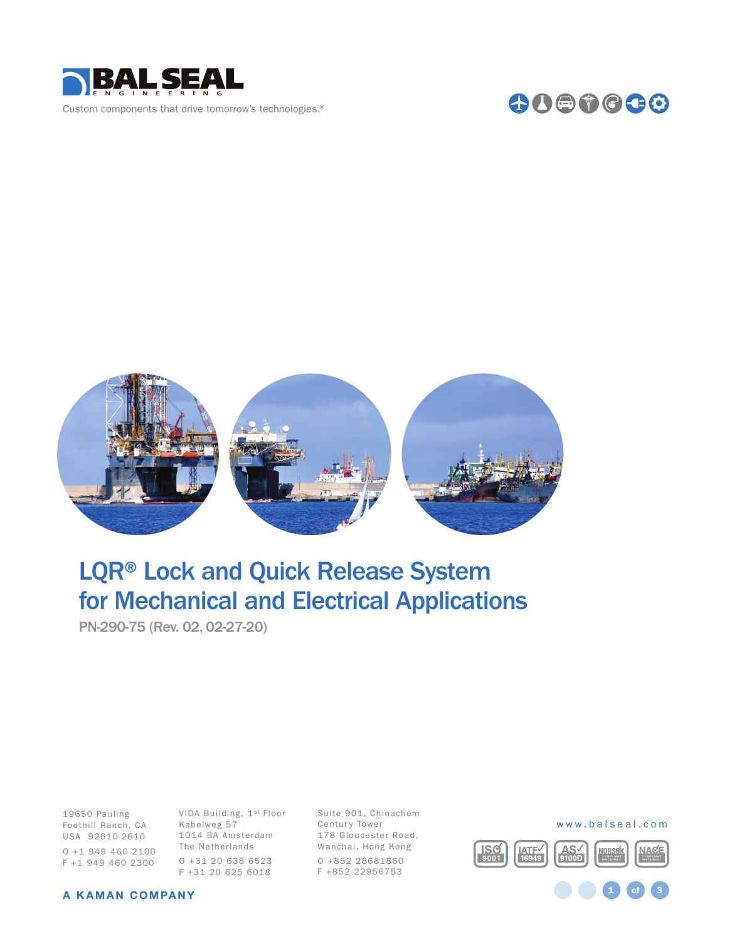

Custom components that drive tomorrow's technologies.®





# LQR® Lock and Quick Release System for Mechanical and Electrical Applications

PN-290-75 (Rev. 02, 02-27-20)

Foothill Ranch, CA Kabelweg 57 19650 Pauling USA 92610-2610 O +1 949 460 2100 F +1 949 460 2300

VIDA Building, 1st Floor 1014 BA Amsterdam The Netherlands O +31 20 638 6523 F +31 20 625 6018

Suite 901, Chinachem Centur y Tower 178 Gloucester Road, Wanchai, Hong Kong O +852 28681860 F +852 22956753

#### www.balseal.com

1 **of** 3

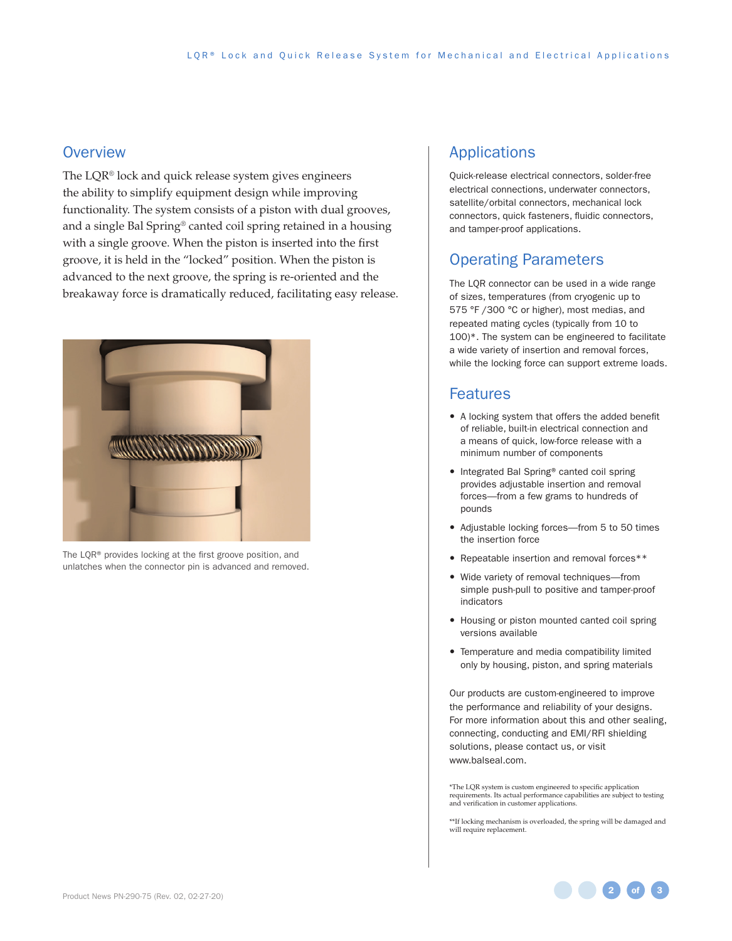#### **Overview**

The LQR® lock and quick release system gives engineers the ability to simplify equipment design while improving functionality. The system consists of a piston with dual grooves, and a single Bal Spring® canted coil spring retained in a housing with a single groove. When the piston is inserted into the first groove, it is held in the "locked" position. When the piston is advanced to the next groove, the spring is re-oriented and the breakaway force is dramatically reduced, facilitating easy release.



The LQR® provides locking at the first groove position, and unlatches when the connector pin is advanced and removed.

### Applications

Quick-release electrical connectors, solder-free electrical connections, underwater connectors, satellite/orbital connectors, mechanical lock connectors, quick fasteners, fluidic connectors, and tamper-proof applications.

# Operating Parameters

The LQR connector can be used in a wide range of sizes, temperatures (from cryogenic up to 575 °F /300 °C or higher), most medias, and repeated mating cycles (typically from 10 to 100)\*. The system can be engineered to facilitate a wide variety of insertion and removal forces, while the locking force can support extreme loads.

#### Features

- A locking system that offers the added benefit of reliable, built-in electrical connection and a means of quick, low-force release with a minimum number of components
- Integrated Bal Spring® canted coil spring provides adjustable insertion and removal forces—from a few grams to hundreds of pounds
- Adjustable locking forces—from 5 to 50 times the insertion force
- Repeatable insertion and removal forces\*\*
- Wide variety of removal techniques—from simple push-pull to positive and tamper-proof indicators
- Housing or piston mounted canted coil spring versions available
- Temperature and media compatibility limited only by housing, piston, and spring materials

Our products are custom-engineered to improve the performance and reliability of your designs. For more information about this and other sealing, connecting, conducting and EMI/RFI shielding solutions, please contact us, or visit www.balseal.com.

\*The LQR system is custom engineered to specific application requirements. Its actual performance capabilities are subject to testing and verification in customer applications.

\*\*If locking mechanism is overloaded, the spring will be damaged and will require replacement.